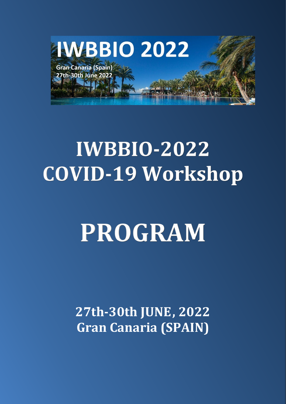

# **IWBBIO-2022 COVID-19 Workshop**

# **PROGRAM**

**27th-30th JUNE, 2022 Gran Canaria (SPAIN)**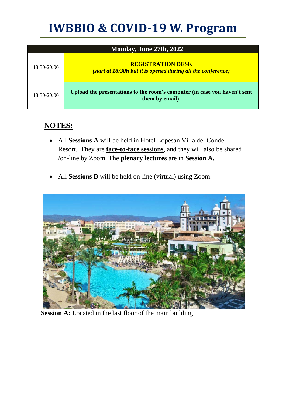## **IWBBIO & COVID-19 W. Program**

| Monday, June 27th, 2022 |                                                                                              |  |  |  |
|-------------------------|----------------------------------------------------------------------------------------------|--|--|--|
| $18:30-20:00$           | <b>REGISTRATION DESK</b><br>(start at 18:30h but it is opened during all the conference)     |  |  |  |
| $18:30-20:00$           | Upload the presentations to the room's computer (in case you haven't sent<br>them by email). |  |  |  |

### **NOTES:**

- All **Sessions A** will be held in Hotel Lopesan Villa del Conde Resort. They are **face-to-face sessions**, and they will also be shared /on-line by Zoom. The **plenary lectures** are in **Session A.**
- All **Sessions B** will be held on-line (virtual) using Zoom.



**Session A:** Located in the last floor of the main building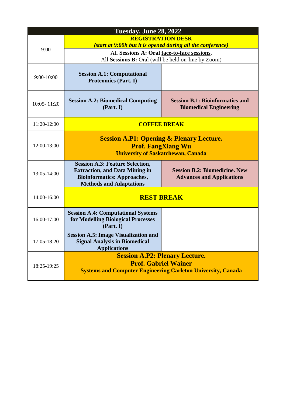|             | Tuesday, June 28, 2022                                                                                                                                  |                                                                          |  |  |
|-------------|---------------------------------------------------------------------------------------------------------------------------------------------------------|--------------------------------------------------------------------------|--|--|
| 9:00        | <b>REGISTRATION DESK</b><br>(start at 9:00h but it is opened during all the conference)                                                                 |                                                                          |  |  |
|             | All Sessions A: Oral face-to-face sessions.<br>All Sessions B: Oral (will be held on-line by Zoom)                                                      |                                                                          |  |  |
| 9:00-10:00  | <b>Session A.1: Computational</b><br><b>Proteomics (Part. I)</b>                                                                                        |                                                                          |  |  |
| 10:05-11:20 | <b>Session A.2: Biomedical Computing</b><br>(Part. I)                                                                                                   | <b>Session B.1: Bioinformatics and</b><br><b>Biomedical Engineering</b>  |  |  |
| 11:20-12:00 | <b>COFFEE BREAK</b>                                                                                                                                     |                                                                          |  |  |
| 12:00-13:00 | <b>Session A.P1: Opening &amp; Plenary Lecture.</b><br><b>Prof. FangXiang Wu</b><br><b>University of Saskatchewan, Canada</b>                           |                                                                          |  |  |
| 13:05-14:00 | <b>Session A.3: Feature Selection,</b><br><b>Extraction, and Data Mining in</b><br><b>Bioinformatics: Approaches,</b><br><b>Methods and Adaptations</b> | <b>Session B.2: Biomedicine. New</b><br><b>Advances and Applications</b> |  |  |
| 14:00-16:00 | <b>REST BREAK</b>                                                                                                                                       |                                                                          |  |  |
| 16:00-17:00 | <b>Session A.4: Computational Systems</b><br>for Modelling Biological Processes<br>(Part. I)                                                            |                                                                          |  |  |
| 17:05-18:20 | <b>Session A.5: Image Visualization and</b><br><b>Signal Analysis in Biomedical</b><br><b>Applications</b>                                              |                                                                          |  |  |
| 18:25-19:25 | <b>Session A.P2: Plenary Lecture.</b><br><b>Prof. Gabriel Wainer</b><br><b>Systems and Computer Engineering Carleton University, Canada</b>             |                                                                          |  |  |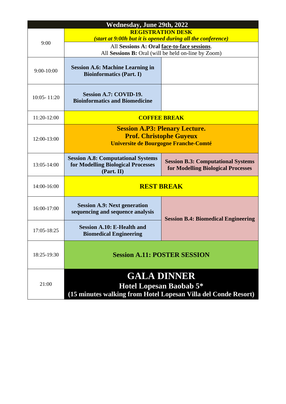| <b>Wednesday, June 29th, 2022</b> |                                                                                                                        |                                                                                 |  |  |
|-----------------------------------|------------------------------------------------------------------------------------------------------------------------|---------------------------------------------------------------------------------|--|--|
|                                   | <b>REGISTRATION DESK</b>                                                                                               |                                                                                 |  |  |
| 9:00                              | (start at 9:00h but it is opened during all the conference)                                                            |                                                                                 |  |  |
|                                   | All Sessions A: Oral face-to-face sessions.<br>All Sessions B: Oral (will be held on-line by Zoom)                     |                                                                                 |  |  |
|                                   |                                                                                                                        |                                                                                 |  |  |
| $9:00 - 10:00$                    | <b>Session A.6: Machine Learning in</b><br><b>Bioinformatics (Part. I)</b>                                             |                                                                                 |  |  |
| $10:05 - 11:20$                   | Session A.7: COVID-19.<br><b>Bioinformatics and Biomedicine</b>                                                        |                                                                                 |  |  |
| 11:20-12:00                       | <b>COFFEE BREAK</b>                                                                                                    |                                                                                 |  |  |
| 12:00-13:00                       | <b>Session A.P3: Plenary Lecture.</b><br><b>Prof. Christophe Guyeux</b><br>Universite de Bourgogne Franche-Comté       |                                                                                 |  |  |
| 13:05-14:00                       | <b>Session A.8: Computational Systems</b><br>for Modelling Biological Processes<br>(Part. II)                          | <b>Session B.3: Computational Systems</b><br>for Modelling Biological Processes |  |  |
| 14:00-16:00                       | <b>REST BREAK</b>                                                                                                      |                                                                                 |  |  |
| 16:00-17:00                       | <b>Session A.9: Next generation</b><br>sequencing and sequence analysis                                                | <b>Session B.4: Biomedical Engineering</b>                                      |  |  |
| 17:05-18:25                       | <b>Session A.10: E-Health and</b><br><b>Biomedical Engineering</b>                                                     |                                                                                 |  |  |
| 18:25-19:30                       | <b>Session A.11: POSTER SESSION</b>                                                                                    |                                                                                 |  |  |
| 21:00                             | <b>GALA DINNER</b><br><b>Hotel Lopesan Baobab 5*</b><br>(15 minutes walking from Hotel Lopesan Villa del Conde Resort) |                                                                                 |  |  |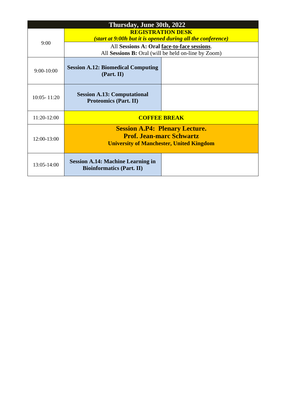| Thursday, June 30th, 2022 |                                                                                                                             |  |  |  |
|---------------------------|-----------------------------------------------------------------------------------------------------------------------------|--|--|--|
| 9:00                      | <b>REGISTRATION DESK</b><br>(start at 9:00h but it is opened during all the conference)                                     |  |  |  |
|                           | All Sessions A: Oral face-to-face sessions.<br>All Sessions B: Oral (will be held on-line by Zoom)                          |  |  |  |
| $9:00-10:00$              | <b>Session A.12: Biomedical Computing</b><br>(Part. II)                                                                     |  |  |  |
| $10:05 - 11:20$           | <b>Session A.13: Computational</b><br><b>Proteomics (Part. II)</b>                                                          |  |  |  |
| $11:20-12:00$             | <b>COFFEE BREAK</b>                                                                                                         |  |  |  |
| 12:00-13:00               | <b>Session A.P4: Plenary Lecture.</b><br><b>Prof. Jean-marc Schwartz</b><br><b>University of Manchester, United Kingdom</b> |  |  |  |
| 13:05-14:00               | <b>Session A.14: Machine Learning in</b><br><b>Bioinformatics (Part. II)</b>                                                |  |  |  |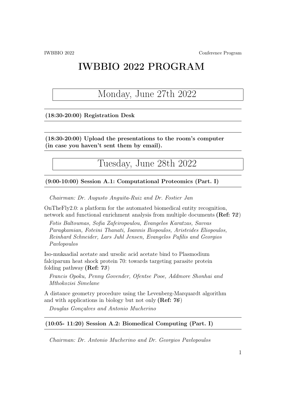## IWBBIO 2022 PROGRAM

## Monday, June 27th 2022

### (18:30-20:00) Registration Desk

(18:30-20:00) Upload the presentations to the room's computer (in case you haven't sent them by email).

Tuesday, June 28th 2022

#### (9:00-10:00) Session A.1: Computational Proteomics (Part. I)

Chairman: Dr. Augusto Anguita-Ruiz and Dr. Fostier Jan

OnTheFly2.0: a platform for the automated biomedical entity recognition, network and functional enrichment analysis from multiple documents (Ref: 72)

Fotis Baltoumas, Sofia Zafeiropoulou, Evangelos Karatzas, Savvas Paragkamian, Foteini Thanati, Ioannis Iliopoulos, Aristeides Eliopoulos, Reinhard Schneider, Lars Juhl Jensen, Evangelos Pafilis and Georgios Pavlopoulos

Iso-mukaadial acetate and ursolic acid acetate bind to Plasmodium falciparum heat shock protein 70: towards targeting parasite protein folding pathway (Ref: 73)

Francis Opoku, Penny Govender, Ofentse Pooe, Addmore Shonhai and Mthokozisi Simelane

A distance geometry procedure using the Levenberg-Marquardt algorithm and with applications in biology but not only (Ref:  $76$ )

Douglas Gonçalves and Antonio Mucherino

### (10:05- 11:20) Session A.2: Biomedical Computing (Part. I)

Chairman: Dr. Antonio Mucherino and Dr. Georgios Pavlopoulos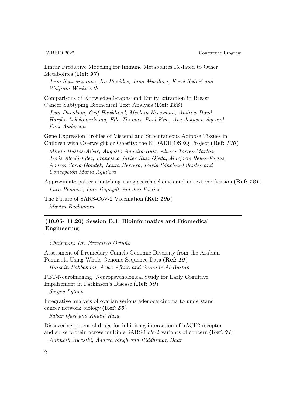IWBBIO 2022 Conference Program

Linear Predictive Modeling for Immune Metabolites Re-lated to Other Metabolites (Ref: 97)

Jana Schwarzerova, Iro Pierides, Jana Musilova, Karel Sedlář and Wolfram Weckwerth

Comparisons of Knowledge Graphs and EntityExtraction in Breast Cancer Subtyping Biomedical Text Analysis (Ref: 128)

Jean Davidson, Grif Hawblitzel, Mcclain Kressman, Andrew Doud, Harsha Lakshmankuma, Ella Thomas, Paul Kim, Ava Jakusovszky and Paul Anderson

Gene Expression Profiles of Visceral and Subcutaneous Adipose Tissues in Children with Overweight or Obesity: the KIDADIPOSEQ Project (Ref: 130)

Mireia Bustos-Aibar, Augusto Anguita-Ruiz, Álvaro Torres-Martos, Jesús Alcalá-Fdez, Francisco Javier Ruiz-Ojeda, Marjorie Reyes-Farias, Andrea Soria-Gondek, Laura Herrero, David Sánchez-Infantes and Concepción María Aguilera

Approximate pattern matching using search schemes and in-text verification (Ref: 121) Luca Renders, Lore Depuydt and Jan Fostier

The Future of SARS-CoV-2 Vaccination (Ref: 190) Martin Bachmann

### (10:05- 11:20) Session B.1: Bioinformatics and Biomedical Engineering

Chairman: Dr. Francisco Ortuño

Assessment of Dromedary Camels Genomic Diversity from the Arabian Peninsula Using Whole Genome Sequence Data (Ref: 19)

Hussain Bahbahani, Arwa Afana and Suzanne Al-Bustan

PET-Neuroimaging Neuropsychological Study for Early Cognitive Impairement in Parkinson's Disease (Ref: 30)

Sergey Lytaev

Integrative analysis of ovarian serious adenocarcinoma to understand cancer network biology (Ref: 55)

Sahar Qazi and Khalid Raza

Discovering potential drugs for inhibiting interaction of hACE2 receptor and spike protein across multiple SARS-CoV-2 variants of concern (Ref: 71) Animesh Awasthi, Adarsh Singh and Riddhiman Dhar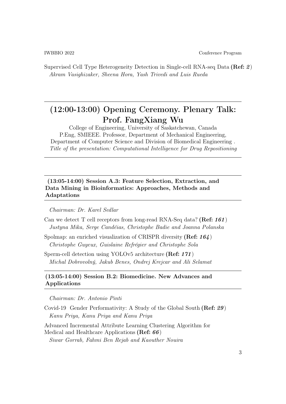Supervised Cell Type Heterogeneity Detection in Single-cell RNA-seq Data (Ref: 2) Akram Vasighizaker, Sheena Hora, Yash Trivedi and Luis Rueda

### (12:00-13:00) Opening Ceremony. Plenary Talk: Prof. FangXiang Wu

College of Engineering, University of Saskatchewan, Canada P.Eng, SMIEEE. Professor, Department of Mechanical Engineering, Department of Computer Science and Division of Biomedical Engineering . Title of the presentation: Computational Intelligence for Drug Repositioning

### (13:05-14:00) Session A.3: Feature Selection, Extraction, and Data Mining in Bioinformatics: Approaches, Methods and Adaptations

#### Chairman: Dr. Karel Sedlar

- Can we detect T cell receptors from long-read RNA-Seq data? (Ref:  $161$ ) Justyna Mika, Serge Candéias, Christophe Badie and Joanna Polanska
- Spolmap: an enriched visualization of CRISPR diversity (Ref: 164) Christophe Guyeux, Guislaine Refrégier and Christophe Sola

Sperm-cell detection using YOLOv5 architecture (Ref: 171) Michal Dobrovolný, Jakub Benes, Ondrej Krejcar and Ali Selamat

### (13:05-14:00) Session B.2: Biomedicine. New Advances and Applications

#### Chairman: Dr. Antonio Pinti

Covid-19 Gender Performativity: A Study of the Global South (Ref: 29) Kanu Priya, Kanu Priya and Kanu Priya

Advanced Incremental Attribute Learning Clustering Algorithm for Medical and Healthcare Applications (Ref: 66) Siwar Gorrab, Fahmi Ben Rejab and Kaouther Nouira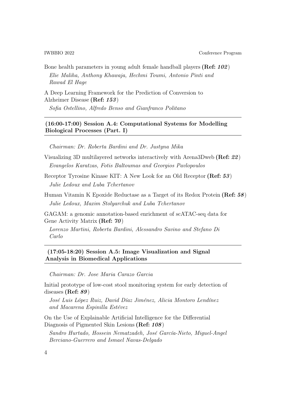Bone health parameters in young adult female handball players (Ref: 102) Elie Maliha, Anthony Khawaja, Hechmi Toumi, Antonio Pinti and Rawad El Hage

A Deep Learning Framework for the Prediction of Conversion to Alzheimer Disease (Ref: 153)

Sofia Ostellino, Alfredo Benso and Gianfranco Politano

### (16:00-17:00) Session A.4: Computational Systems for Modelling Biological Processes (Part. I)

Chairman: Dr. Roberta Bardini and Dr. Justyna Mika

- Visualizing 3D multilayered networks interactively with Arena3Dweb (Ref: 22) Evangelos Karatzas, Fotis Baltoumas and Georgios Pavlopoulos
- Receptor Tyrosine Kinase KIT: A New Look for an Old Receptor (Ref: 53) Julie Ledoux and Luba Tchertanov
- Human Vitamin K Epoxide Reductase as a Target of its Redox Protein (Ref: 58) Julie Ledoux, Maxim Stolyarchuk and Luba Tchertanov

GAGAM: a genomic annotation-based enrichment of scATAC-seq data for Gene Activity Matrix (Ref: 70)

Lorenzo Martini, Roberta Bardini, Alessandro Savino and Stefano Di Carlo

(17:05-18:20) Session A.5: Image Visualization and Signal Analysis in Biomedical Applications

Chairman: Dr. Jose Maria Carazo Garcia

Initial prototype of low-cost stool monitoring system for early detection of diseases (Ref: 89)

José Luis López Ruiz, David Díaz Jiménez, Alicia Montoro Lendínez and Macarena Espinilla Estévez

On the Use of Explainable Artificial Intelligence for the Differential Diagnosis of Pigmented Skin Lesions (Ref: 108)

Sandro Hurtado, Hossein Nematzadeh, José García-Nieto, Miguel-Angel Berciano-Guerrero and Ismael Navas-Delgado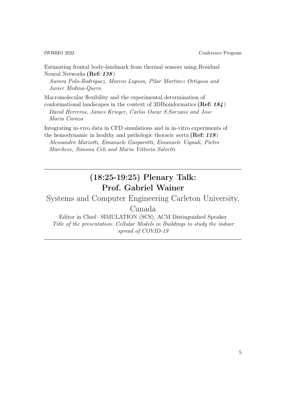IWBBIO 2022 Conference Program

Estimating frontal body-landmark from thermal sensors using Residual Neural Networks (Ref: 138)

Aurora Polo-Rodriguez, Marcos Lupion, Pilar Martinez Ortigosa and Javier Medina-Quero

Macromolecular flexibility and the experimental determination of conformational landscapes in the context of 3DBioinformatics (Ref: 184) David Herreros, James Krieger, Carlos Oscar S.Sorzano and Jose

Maria Carazo

Integrating in-vivo data in CFD simulations and in in-vitro experiments of the hemodynamic in healthy and pathologic thoracic aorta (Ref: 118)

Alessandro Mariotti, Emanuele Gasparotti, Emanuele Vignali, Pietro Marchese, Simona Celi and Maria Vittoria Salvetti

### (18:25-19:25) Plenary Talk: Prof. Gabriel Wainer

Systems and Computer Engineering Carleton University,

Canada

Editor in Chief– SIMULATION (SCS), ACM Distinguished Speaker Title of the presentation: Cellular Models in Buildings to study the indoor spread of COVID-19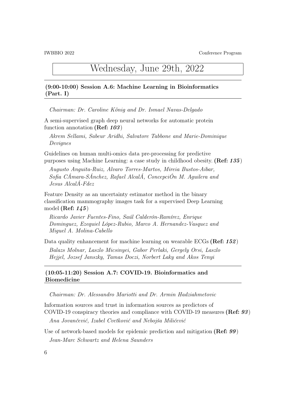### Wednesday, June 29th, 2022

### (9:00-10:00) Session A.6: Machine Learning in Bioinformatics (Part. I)

Chairman: Dr. Caroline König and Dr. Ismael Navas-Delgado

A semi-supervised graph deep neural networks for automatic protein function annotation (Ref: 103)

Akrem Sellami, Sabeur Aridhi, Salvatore Tabbone and Marie-Dominique Devignes

Guidelines on human multi-omics data pre-processing for predictive purposes using Machine Learning: a case study in childhood obesity. (Ref: 135)

Augusto Anguita-Ruiz, Alvaro Torres-Martos, Mireia Bustos-Aibar, Sofia CÁmara-SÁnchez, Rafael AlcalÁ, ConcepciÓn M. Aguilera and Jesus AlcalÁ-Fdez

Feature Density as an uncertainty estimator method in the binary classification mammography images task for a supervised Deep Learning model (Ref:  $145$ )

Ricardo Javier Fuentes-Fino, Saúl Calderón-Ramírez, Enrique Dominguez, Ezequiel López-Rubio, Marco A. Hernandez-Vasquez and Miguel A. Molina-Cabello

Data quality enhancement for machine learning on wearable ECGs (Ref: 152)

Balazs Molnar, Laszlo Micsinyei, Gabor Perlaki, Gergely Orsi, Laszlo Hejjel, Jozsef Janszky, Tamas Doczi, Norbert Laky and Akos Tenyi

### (10:05-11:20) Session A.7: COVID-19. Bioinformatics and Biomedicine

Chairman: Dr. Alessandro Mariotti and Dr. Armin Hadziahmetovic

Information sources and trust in information sources as predictors of COVID-19 conspiracy theories and compliance with COVID-19 measures (Ref: 93)

Ana Jovančević, Izabel Cvetković and Nebojša Milićević

Use of network-based models for epidemic prediction and mitigation (Ref: 99) Jean-Marc Schwartz and Helena Saunders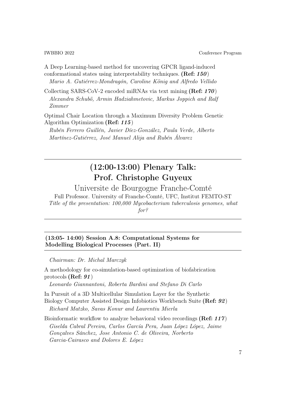A Deep Learning-based method for uncovering GPCR ligand-induced conformational states using interpretability techniques. (Ref: 150) Mario A. Gutiérrez-Mondragón, Caroline König and Alfredo Vellido

Collecting SARS-CoV-2 encoded miRNAs via text mining (Ref: 170) Alexandra Schubö, Armin Hadziahmetovic, Markus Joppich and Ralf Zimmer

Optimal Chair Location through a Maximum Diversity Problem Genetic Algorithm Optimization (Ref: 115)

Rubén Ferrero Guillén, Javier Díez-González, Paula Verde, Alberto Martínez-Gutiérrez, José Manuel Alija and Rubén Álvarez

### (12:00-13:00) Plenary Talk: Prof. Christophe Guyeux

Universite de Bourgogne Franche-Comté Full Professor. University of Franche-Comté, UFC, Institut FEMTO-ST Title of the presentation: 100,000 Mycobacterium tuberculosis genomes, what for?

(13:05- 14:00) Session A.8: Computational Systems for Modelling Biological Processes (Part. II)

Chairman: Dr. Michal Marczyk

A methodology for co-simulation-based optimization of biofabrication protocols (Ref: 91)

Leonardo Giannantoni, Roberta Bardini and Stefano Di Carlo

In Pursuit of a 3D Multicellular Simulation Layer for the Synthetic Biology Computer Assisted Design Infobiotics Workbench Suite (Ref: 92) Richard Matzko, Savas Konur and Laurentiu Mierla

Bioinformatic workflow to analyze behavioral video recordings (Ref: 117) Giselda Cabral Pereira, Carlos García Pera, Juan López López, Jaime Gonçalves Sánchez, Jose Antonio C. de Oliveira, Norberto Garcia-Cairasco and Dolores E. López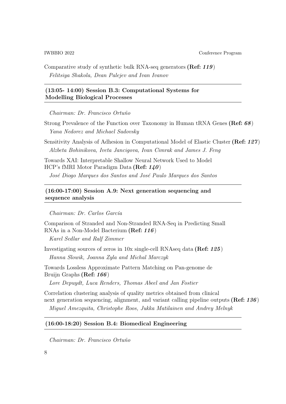IWBBIO 2022 Conference Program

Comparative study of synthetic bulk RNA-seq generators (Ref: 119) Felitsiya Shakola, Dean Palejev and Ivan Ivanov

### (13:05- 14:00) Session B.3: Computational Systems for Modelling Biological Processes

Chairman: Dr. Francisco Ortuño

Strong Prevalence of the Function over Taxonomy in Human tRNA Genes (Ref: 68) Yana Nedorez and Michael Sadovsky

Sensitivity Analysis of Adhesion in Computational Model of Elastic Cluster (Ref: 127) Alzbeta Bohinikova, Iveta Jancigova, Ivan Cimrak and James J. Feng

Towards XAI: Interpretable Shallow Neural Network Used to Model HCP's fMRI Motor Paradigm Data (Ref: 140) José Diogo Marques dos Santos and José Paulo Marques dos Santos

### (16:00-17:00) Session A.9: Next generation sequencing and sequence analysis

Chairman: Dr. Carlos García

Comparison of Stranded and Non-Stranded RNA-Seq in Predicting Small RNAs in a Non-Model Bacterium (Ref: 116)

Karel Sedlar and Ralf Zimmer

Investigating sources of zeros in 10x single-cell RNAseq data (Ref: 125) Hanna Slowik, Joanna Zyla and Michal Marczyk

Towards Lossless Approximate Pattern Matching on Pan-genome de Bruijn Graphs (Ref: 166)

Lore Depuydt, Luca Renders, Thomas Abeel and Jan Fostier

Correlation clustering analysis of quality metrics obtained from clinical next generation sequencing, alignment, and variant calling pipeline outputs (Ref: 136) Miguel Amezquita, Christophe Roos, Jukka Matilainen and Andrey Melnyk

### (16:00-18:20) Session B.4: Biomedical Engineering

Chairman: Dr. Francisco Ortuño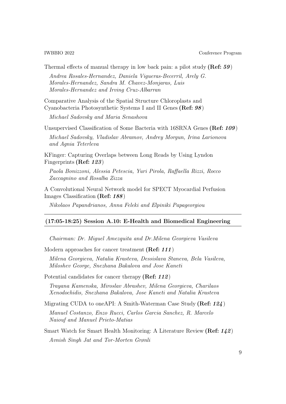Thermal effects of manual therapy in low back pain: a pilot study (Ref:  $59$ )

Andrea Rosales-Hernandez, Daniela Vigueras-Becerril, Arely G. Morales-Hernandez, Sandra M. Chavez-Monjaras, Luis Morales-Hernandez and Irving Cruz-Albarran

Comparative Analysis of the Spatial Structure Chloroplasts and Cyanobacteria Photosynthetic Systems I and II Genes (Ref: 98)

Michael Sadovsky and Maria Senashova

Unsupervised Classification of Some Bacteria with 16SRNA Genes (Ref: 109) Michael Sadovsky, Vladislav Abramov, Andrey Morgun, Irina Larionova and Agnia Teterleva

KFinger: Capturing Overlaps between Long Reads by Using Lyndon Fingerprints (Ref: 123)

Paola Bonizzoni, Alessia Petescia, Yuri Pirola, Raffaella Rizzi, Rocco Zaccagnino and Rosalba Zizza

A Convolutional Neural Network model for SPECT Myocardial Perfusion Images Classification (Ref: 188)

Nikolaos Papandrianos, Anna Feleki and Elpiniki Papageorgiou

#### (17:05-18:25) Session A.10: E-Health and Biomedical Engineering

Chairman: Dr. Miguel Amezquita and Dr.Milena Georgieva Vasileva

Modern approaches for cancer treatment (Ref: 111)

Milena Georgieva, Natalia Krasteva, Dessislava Staneva, Bela Vasileva, Miloshev George, Snezhana Bakalova and Jose Kaneti

Potential candidates for cancer therapy (Ref: 112)

Trayana Kamenska, Miroslav Abrashev, Milena Georgieva, Charilaos Xenodochidis, Snezhana Bakalova, Jose Kaneti and Natalia Krasteva

Migrating CUDA to oneAPI: A Smith-Waterman Case Study (Ref: 124)

Manuel Costanzo, Enzo Rucci, Carlos Garcia Sanchez, R. Marcelo Naiouf and Manuel Prieto-Matias

Smart Watch for Smart Health Monitoring: A Literature Review (Ref: 142) Avnish Singh Jat and Tor-Morten Grønli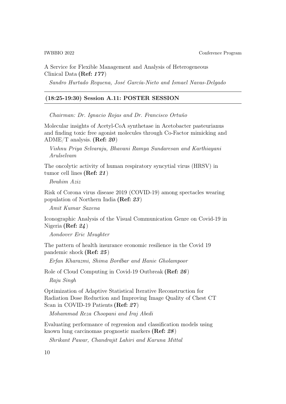A Service for Flexible Management and Analysis of Heterogeneous Clinical Data (Ref: 177)

Sandro Hurtado Requena, José García-Nieto and Ismael Navas-Delgado

### (18:25-19:30) Session A.11: POSTER SESSION

Chairman: Dr. Ignacio Rojas and Dr. Francisco Ortuño

Molecular insights of Acetyl-CoA synthetase in Acetobacter pasteurianus and finding toxic free agonist molecules through Co-Factor mimicking and ADME/T analysis. (Ref:  $20$ )

Vishnu Priya Selvaraju, Bhavani Ramya Sundaresan and Karthiayani Arulselvam

The oncolytic activity of human respiratory syncytial virus (HRSV) in tumor cell lines (Ref: 21)

Ibrahim Aziz

Risk of Corona virus disease 2019 (COVID-19) among spectacles wearing population of Northern India (Ref: 23)

Amit Kumar Saxena

Iconographic Analysis of the Visual Communication Genre on Covid-19 in Nigeria (Ref: 24)

Aondover Eric Msughter

The pattern of health insurance economic resilience in the Covid 19 pandemic shock (Ref: 25)

Erfan Kharazmi, Shima Bordbar and Hanie Gholampoor

Role of Cloud Computing in Covid-19 Outbreak (Ref: 26)

Raju Singh

Optimization of Adaptive Statistical Iterative Reconstruction for Radiation Dose Reduction and Improving Image Quality of Chest CT Scan in COVID-19 Patients (Ref: 27)

Mohammad Reza Choopani and Iraj Abedi

Evaluating performance of regression and classification models using known lung carcinomas prognostic markers (Ref: 28)

Shrikant Pawar, Chandrajit Lahiri and Karuna Mittal

10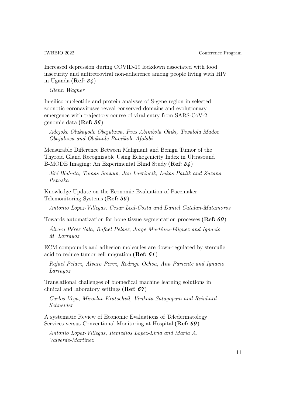Increased depression during COVID-19 lockdown associated with food insecurity and antiretroviral non-adherence among people living with HIV in Uganda (Ref: 34)

Glenn Wagner

In-silico nucleotide and protein analyses of S-gene region in selected zoonotic coronaviruses reveal conserved domains and evolutionary emergence with trajectory course of viral entry from SARS-CoV-2 genomic data (Ref: 36)

Adejoke Olukayode Obajuluwa, Pius Abimbola Okiki, Tiwalola Madoc Obajuluwa and Olakunle Bamikole Afolabi

Measurable Difference Between Malignant and Benign Tumor of the Thyroid Gland Recognizable Using Echogenicity Index in Ultrasound B-MODE Imaging: An Experimental Blind Study (Ref: 54)

Jiří Blahuta, Tomas Soukup, Jan Lavrincik, Lukas Pavlik and Zuzana Repaska

Knowledge Update on the Economic Evaluation of Pacemaker Telemonitoring Systems (Ref: 56)

Antonio Lopez-Villegas, Cesar Leal-Costa and Daniel Catalan-Matamoros

Towards automatization for bone tissue segmentation processes (Ref:  $60$ )

Álvaro Pérez Sala, Rafael Pelaez, Jorge Martínez-Iñiguez and Ignacio M. Larrayoz

ECM compounds and adhesion molecules are down-regulated by sterculic acid to reduce tumor cell migration (Ref: 61)

Rafael Pelaez, Alvaro Perez, Rodrigo Ochoa, Ana Pariente and Ignacio Larrayoz

Translational challenges of biomedical machine learning solutions in clinical and laboratory settings (Ref: 67)

Carlos Vega, Miroslav Kratochvil, Venkata Satagopam and Reinhard Schneider

A systematic Review of Economic Evaluations of Teledermatology Services versus Conventional Monitoring at Hospital (Ref: 69)

Antonio Lopez-Villegas, Remedios Lopez-Liria and Maria A. Valverde-Martinez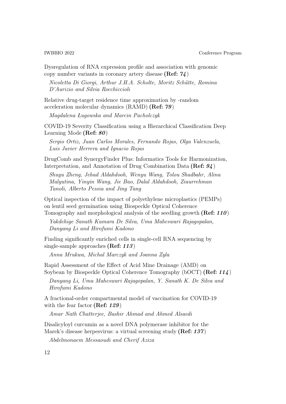Dysregulation of RNA expression profile and association with genomic copy number variants in coronary artery disease (Ref: 74)

Nicoletta Di Giorgi, Arthur J.H.A. Scholte, Moritz Schütte, Romina D'Aurizio and Silvia Rocchiccioli

Relative drug-target residence time approximation by -random acceleration molecular dynamics (RAMD) (Ref: 79)

Magdalena Ługowska and Marcin Pacholczyk

COVID-19 Severity Classification using a Hierarchical Classification Deep Learning Mode (Ref: 80)

Sergio Ortiz, Juan Carlos Morales, Fernando Rojas, Olga Valenzuela, Luis Javier Herrera and Ignacio Rojas

DrugComb and SynergyFinder Plus: Informatics Tools for Harmonization, Interpretation, and Annotation of Drug Combination Data (Ref: 94)

Shuyu Zheng, Jehad Aldahdooh, Wenyu Wang, Tolou Shadbahr, Alina Malyutina, Yinyin Wang, Jie Bao, Dalal Aldahdooh, Ziaurrehman Tanoli, Alberto Pessia and Jing Tang

Optical inspection of the impact of polyethylene microplastics (PEMPs) on lentil seed germination using Biospeckle Optical Coherence Tomography and morphological analysis of the seedling growth (Ref: 110)

Yakdehige Sanath Kumara De Silva, Uma Maheswari Rajagopalan, Danyang Li and Hirofumi Kadono

Finding significantly enriched cells in single-cell RNA sequencing by single-sample approaches (Ref: 113)

Anna Mrukwa, Michal Marczyk and Joanna Zyla

Rapid Assessment of the Effect of Acid Mine Drainage (AMD) on Soybean by Biospeckle Optical Coherence Tomography (bOCT) (Ref: 114)

Danyang Li, Uma Maheswari Rajagopalan, Y. Sanath K. De Silva and Hirofumi Kadono

A fractional-order compartmental model of vaccination for COVID-19 with the fear factor (**Ref: 129**)

Amar Nath Chatterjee, Bashir Ahmad and Ahmed Alsaedi

Disalicyloyl curcumin as a novel DNA polymerase inhibitor for the Marek's disease herpesvirus: a virtual screening study (**Ref: 137**)

Abdelmonaem Messaoudi and Cherif Aziza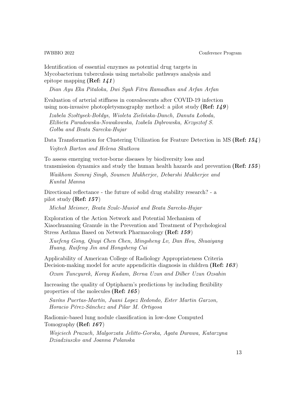Identification of essential enzymes as potential drug targets in Mycobacterium tuberculosis using metabolic pathways analysis and epitope mapping (Ref: 141)

Dian Ayu Eka Pitaloka, Dwi Syah Fitra Ramadhan and Arfan Arfan

Evaluation of arterial stiffness in convalescents after COVID-19 infection using non-invasive photopletysmography method: a pilot study (Ref:  $149$ )

Izabela Szołtysek-Bołdys, Wioleta Zielińska-Danch, Danuta Łoboda, Elżbieta Paradowska-Nowakowska, Izabela Dąbrowska, Krzysztof S. Gołba and Beata Sarecka-Hujar

Data Transformation for Clustering Utilization for Feature Detection in MS (Ref: 154) Vojtech Barton and Helena Skutkova

To assess emerging vector-borne diseases by biodiversity loss and transmission dynamics and study the human health hazards and prevention (Ref: 155)

Waikhom Somraj Singh, Soumen Mukherjee, Debarshi Mukherjee and Kuntal Manna

Directional reflectance - the future of solid drug stability research? - a pilot study (Ref: 157)

Michał Meisner, Beata Szulc-Musioł and Beata Sarecka-Hujar

Exploration of the Action Network and Potential Mechanism of Xiaochuanning Granule in the Prevention and Treatment of Psychological Stress Asthma Based on Network Pharmacology (Ref: 159)

Xuefeng Gong, Qiuyi Chen Chen, Mingsheng Lv, Dan Hou, Shuaiyang Huang, Ruifeng Jin and Hongsheng Cui

Applicability of American College of Radiology Appropriateness Criteria Decision-making model for acute appendicitis diagnosis in children (Ref: 163)

Ozum Tuncyurek, Koray Kadam, Berna Uzun and Dilber Uzun Ozsahin

Increasing the quality of Optipharm's predictions by including flexibility properties of the molecules (Ref: 165)

Savíns Puertas-Martín, Juani Lopez Redondo, Ester Martin Garzon, Horacio Pérez-Sánchez and Pilar M. Ortigosa

Radiomic-based lung nodule classification in low-dose Computed Tomography (Ref: 167)

Wojciech Prazuch, Malgorzata Jelitto-Gorska, Agata Durawa, Katarzyna Dziadziuszko and Joanna Polanska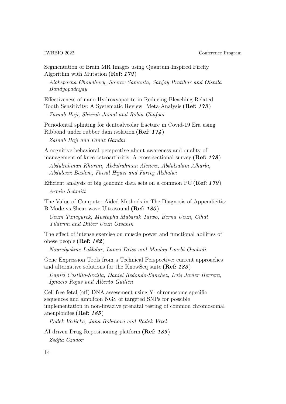Segmentation of Brain MR Images using Quantum Inspired Firefly Algorithm with Mutation (Ref: 172)

Alokeparna Choudhury, Sourav Samanta, Sanjoy Pratihar and Oishila Bandyopadhyay

Effectiveness of nano-Hydroxyapatite in Reducing Bleaching Related Tooth Sensitivity: A Systematic Review Meta-Analysis (Ref: 173)

Zainab Haji, Shizrah Jamal and Robia Ghafoor

Periodontal splinting for dentoalveolar fracture in Covid-19 Era using Ribbond under rubber dam isolation (Ref: 174) Zainab Haji and Dinaz Gandhi

A cognitive behavioral perspective about awareness and quality of management of knee osteoarthritis: A cross-sectional survey (Ref: 178)

Abdulrahman Khormi, Abdulrahman Alenezi, Abdulsalam Alharbi, Abdulaziz Baslem, Faisal Hijazi and Farraj Alshalwi

Efficient analysis of big genomic data sets on a common PC (Ref: 179) Armin Schmitt

The Value of Computer-Aided Methods in The Diagnosis of Appendicitis: B Mode vs Shear-wave Ultrasound (Ref: 180)

Ozum Tuncyurek, Mustapha Mubarak Taiwo, Berna Uzun, Cihat Yildirim and Dilber Uzun Ozsahin

The effect of intense exercise on muscle power and functional abilities of obese people (Ref: 182)

Nourelyakine Lakhdar, Lamri Driss and Moulay Laarbi Ouahidi

Gene Expression Tools from a Technical Perspective: current approaches and alternative solutions for the KnowSeq suite (Ref: 183)

Daniel Castillo-Secilla, Daniel Redondo-Sanchez, Luis Javier Herrera, Ignacio Rojas and Alberto Guillen

Cell free fetal (cff) DNA assessment using Y- chromosome specific sequences and amplicon NGS of targeted SNPs for possible implementation in non-invazive prenatal testing of common chromosomal aneuploidies (Ref: 185)

Radek Vodicka, Jana Bohmova and Radek Vrtel

AI driven Drug Repositioning platform (Ref: 189) Zsófia Czudor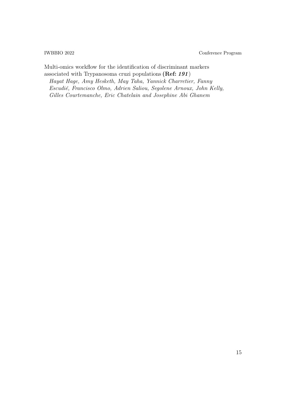Multi-omics workflow for the identification of discriminant markers associated with Trypanosoma cruzi populations (Ref: 191) Hayat Hage, Amy Hesketh, May Taha, Yannick Charretier, Fanny Escudié, Francisco Olmo, Adrien Saliou, Segolene Arnoux, John Kelly, Gilles Courtemanche, Eric Chatelain and Josephine Abi Ghanem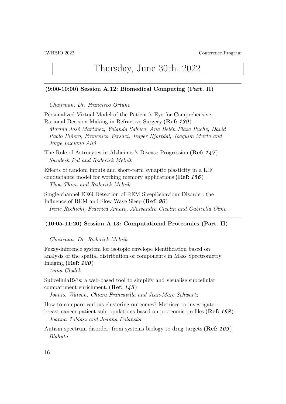### Thursday, June 30th, 2022

#### (9:00-10:00) Session A.12: Biomedical Computing (Part. II)

Chairman: Dr. Francisco Ortuño

Personalized Virtual Model of the Patient´s Eye for Comprehensive, Rational Decision-Making in Refractive Surgery (Ref: 139)

Marina José Martínez, Yolanda Sabuco, Ana Belén Plaza Puche, David Pablo Piñero, Francesco Versaci, Jesper Hjortdal, Joaquim Murta and Jorge Luciano Alió

The Role of Astrocytes in Alzheimer's Disease Progression (Ref: 147) Swadesh Pal and Roderick Melnik

Effects of random inputs and short-term synaptic plasticity in a LIF conductance model for working memory applications (Ref: 156)

Thoa Thieu and Roderick Melnik

Single-channel EEG Detection of REM SleepBehaviour Disorder: the Influence of REM and Slow Wave Sleep (Ref: 90) Irene Rechichi, Federica Amato, Alessandro Cicolin and Gabriella Olmo

#### (10:05-11:20) Session A.13: Computational Proteomics (Part. II)

Chairman: Dr. Roderick Melnik

Fuzzy-inference system for isotopic envelope identification based on analysis of the spatial distribution of components in Mass Spectrometry Imaging (Ref:  $120$ )

Anna Glodek

SubcellulaRVis: a web-based tool to simplify and visualise subcellular compartment enrichment. (Ref:  $143$ )

Joanne Watson, Chiara Francavilla and Jean-Marc Schwartz

How to compare various clustering outcomes? Metrices to investigate

breast cancer patient subpopulations based on proteomic profiles (Ref: 168) Joanna Tobiasz and Joanna Polanska

Autism spectrum disorder: from systems biology to drug targets (Ref: 169) Blahuta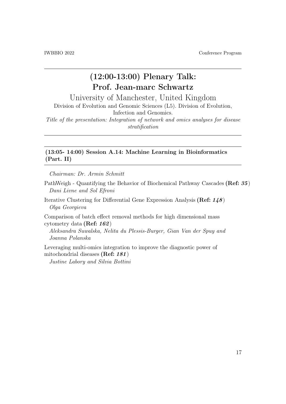### (12:00-13:00) Plenary Talk: Prof. Jean-marc Schwartz

University of Manchester, United Kingdom

Division of Evolution and Genomic Sciences (L5). Division of Evolution, Infection and Genomics.

Title of the presentation: Integration of network and omics analyses for disease stratification

### (13:05- 14:00) Session A.14: Machine Learning in Bioinformatics (Part. II)

Chairman: Dr. Armin Schmitt

PathWeigh - Quantifying the Behavior of Biochemical Pathway Cascades (Ref: 35) Dani Livne and Sol Efroni

Iterative Clustering for Differential Gene Expression Analysis (Ref: 148) Olga Georgieva

Comparison of batch effect removal methods for high dimensional mass cytometry data (Ref: 162)

Aleksandra Suwalska, Nelita du Plessis-Burger, Gian Van der Spuy and Joanna Polanska

Leveraging multi-omics integration to improve the diagnostic power of mitochondrial diseases (Ref: 181)

Justine Labory and Silvia Bottini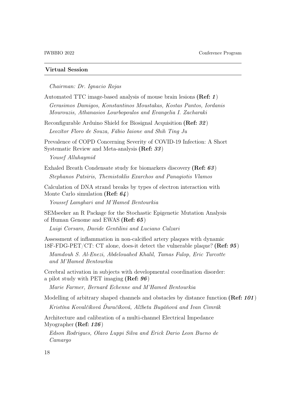#### Virtual Session

Chairman: Dr. Ignacio Rojas

Automated TTC image-based analysis of mouse brain lesions (Ref: 1) Gerasimos Damigos, Konstantinos Moustakas, Kostas Pantos, Iordanis Mourouzis, Athanasios Lourbopoulos and Evangelia I. Zacharaki

Reconfigurable Arduino Shield for Biosignal Acquisition (Ref: 32) Leozítor Floro de Souza, Fábio Iaione and Shih Ting Ju

Prevalence of COPD Concerning Severity of COVID-19 Infection: A Short Systematic Review and Meta-analysis (Ref: 33)

Yousef Alluhaymid

Exhaled Breath Condensate study for biomarkers discovery (Ref: 63) Stephanos Patsiris, Themistoklis Exarchos and Panagiotis Vlamos

Calculation of DNA strand breaks by types of electron interaction with Monte Carlo simulation (Ref:  $64$ )

Youssef Lamghari and M'Hamed Bentourkia

SEMseeker an R Package for the Stochastic Epigenetic Mutation Analysis of Human Genome and EWAS (Ref: 65)

Luigi Corsaro, Davide Gentilini and Luciano Calzari

Assessment of inflammation in non-calcified artery plaques with dynamic 18F-FDG-PET/CT: CT alone, does-it detect the vulnerable plaque? (Ref:  $95$ ) Mamdouh S. Al-Enezi, Abdelouahed Khalil, Tamas Fulop, Eric Turcotte and M'Hamed Bentourkia

Cerebral activation in subjects with developmental coordination disorder: a pilot study with PET imaging (Ref: 96)

Marie Farmer, Bernard Echenne and M'Hamed Bentourkia

Modelling of arbitrary shaped channels and obstacles by distance function (Ref: 101) Kristína Kovalčíková Ďuračíková, Alžbeta Bugáňová and Ivan Cimrák

Architecture and calibration of a multi-channel Electrical Impedance Myographer (Ref: 126)

Edson Rodrigues, Olavo Luppi Silva and Erick Dario Leon Bueno de Camargo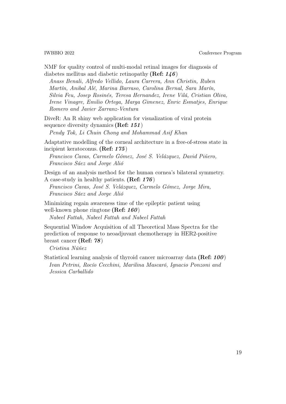NMF for quality control of multi-modal retinal images for diagnosis of diabetes mellitus and diabetic retinopathy (Ref:  $146$ )

Anass Benali, Alfredo Vellido, Laura Carrera, Ann Christin, Ruben Martín, Anibal Alé, Marina Barraso, Carolina Bernal, Sara Marín, Silvia Feu, Josep Rosinés, Teresa Hernandez, Irene Vilá, Cristian Oliva, Irene Vinagre, Emilio Ortega, Marga Gimenez, Enric Esmatjes, Enrique Romero and Javier Zarranz-Ventura

DiveR: An R shiny web application for visualization of viral protein sequence diversity dynamics (Ref: 151)

Pendy Tok, Li Chuin Chong and Mohammad Asif Khan

Adaptative modelling of the corneal architecture in a free-of-stress state in incipient keratoconus. (Ref: 175)

Francisco Cavas, Carmelo Gómez, José S. Velázquez, David Piñero, Francisco Sáez and Jorge Alió

Design of an analysis method for the human cornea's bilateral symmetry. A case-study in healthy patients. (Ref: 176)

Francisco Cavas, José S. Velázquez, Carmelo Gómez, Jorge Mira, Francisco Sáez and Jorge Alió

Minimizing regain awareness time of the epileptic patient using well-known phone ringtone (Ref: 160)

Nabeel Fattah, Nabeel Fattah and Nabeel Fattah

Sequential Window Acquisition of all Theoretical Mass Spectra for the prediction of response to neoadjuvant chemotherapy in HER2-positive breast cancer (Ref: 78)

Cristina Núñez

Statistical learning analysis of thyroid cancer microarray data (Ref: 100) Ivan Petrini, Rocío Cecchini, Marilina Mascaró, Ignacio Ponzoni and Jessica Carballido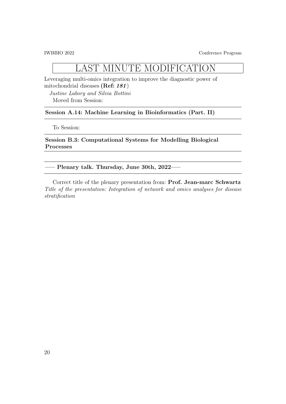## LAST MINUTE MODIFICATION

Leveraging multi-omics integration to improve the diagnostic power of mitochondrial diseases (Ref: 181)

Justine Labory and Silvia Bottini Moved from Session:

#### Session A.14: Machine Learning in Bioinformatics (Part. II)

To Session:

Session B.3: Computational Systems for Modelling Biological Processes

—– Plenary talk. Thursday, June 30th, 2022—–

Correct title of the plenary presentation from: Prof. Jean-marc Schwartz Title of the presentation: Integration of network and omics analyses for disease stratification